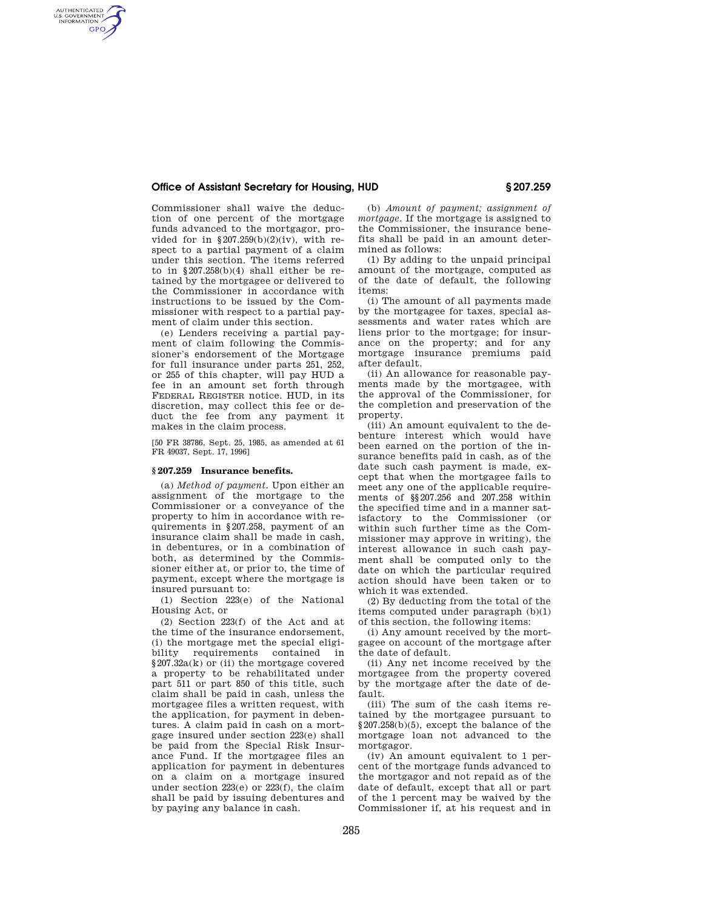## **Office of Assistant Secretary for Housing, HUD § 207.259**

AUTHENTICATED<br>U.S. GOVERNMENT<br>INFORMATION **GPO** 

Commissioner shall waive the deduction of one percent of the mortgage funds advanced to the mortgagor, provided for in  $$207.259(b)(2)(iv)$ , with respect to a partial payment of a claim under this section. The items referred to in  $\S 207.258(b)(4)$  shall either be retained by the mortgagee or delivered to the Commissioner in accordance with instructions to be issued by the Commissioner with respect to a partial payment of claim under this section.

(e) Lenders receiving a partial payment of claim following the Commissioner's endorsement of the Mortgage for full insurance under parts 251, 252, or 255 of this chapter, will pay HUD a fee in an amount set forth through FEDERAL REGISTER notice. HUD, in its discretion, may collect this fee or deduct the fee from any payment it makes in the claim process.

[50 FR 38786, Sept. 25, 1985, as amended at 61 FR 49037, Sept. 17, 1996]

#### **§ 207.259 Insurance benefits.**

(a) *Method of payment.* Upon either an assignment of the mortgage to the Commissioner or a conveyance of the property to him in accordance with requirements in §207.258, payment of an insurance claim shall be made in cash, in debentures, or in a combination of both, as determined by the Commissioner either at, or prior to, the time of payment, except where the mortgage is insured pursuant to:

(1) Section 223(e) of the National Housing Act, or

(2) Section 223(f) of the Act and at the time of the insurance endorsement, (i) the mortgage met the special eligibility requirements contained in §207.32a(k) or (ii) the mortgage covered a property to be rehabilitated under part 511 or part 850 of this title, such claim shall be paid in cash, unless the mortgagee files a written request, with the application, for payment in debentures. A claim paid in cash on a mortgage insured under section 223(e) shall be paid from the Special Risk Insurance Fund. If the mortgagee files an application for payment in debentures on a claim on a mortgage insured under section 223(e) or 223(f), the claim shall be paid by issuing debentures and by paying any balance in cash.

(b) *Amount of payment; assignment of mortgage.* If the mortgage is assigned to the Commissioner, the insurance benefits shall be paid in an amount determined as follows:

(1) By adding to the unpaid principal amount of the mortgage, computed as of the date of default, the following items:

(i) The amount of all payments made by the mortgagee for taxes, special assessments and water rates which are liens prior to the mortgage; for insurance on the property; and for any mortgage insurance premiums paid after default.

(ii) An allowance for reasonable payments made by the mortgagee, with the approval of the Commissioner, for the completion and preservation of the property.

(iii) An amount equivalent to the debenture interest which would have been earned on the portion of the insurance benefits paid in cash, as of the date such cash payment is made, except that when the mortgagee fails to meet any one of the applicable requirements of §§207.256 and 207.258 within the specified time and in a manner satisfactory to the Commissioner (or within such further time as the Commissioner may approve in writing), the interest allowance in such cash payment shall be computed only to the date on which the particular required action should have been taken or to which it was extended.

(2) By deducting from the total of the items computed under paragraph (b)(1) of this section, the following items:

(i) Any amount received by the mortgagee on account of the mortgage after the date of default.

(ii) Any net income received by the mortgagee from the property covered by the mortgage after the date of default.

(iii) The sum of the cash items retained by the mortgagee pursuant to §207.258(b)(5), except the balance of the mortgage loan not advanced to the mortgagor.

(iv) An amount equivalent to 1 percent of the mortgage funds advanced to the mortgagor and not repaid as of the date of default, except that all or part of the 1 percent may be waived by the Commissioner if, at his request and in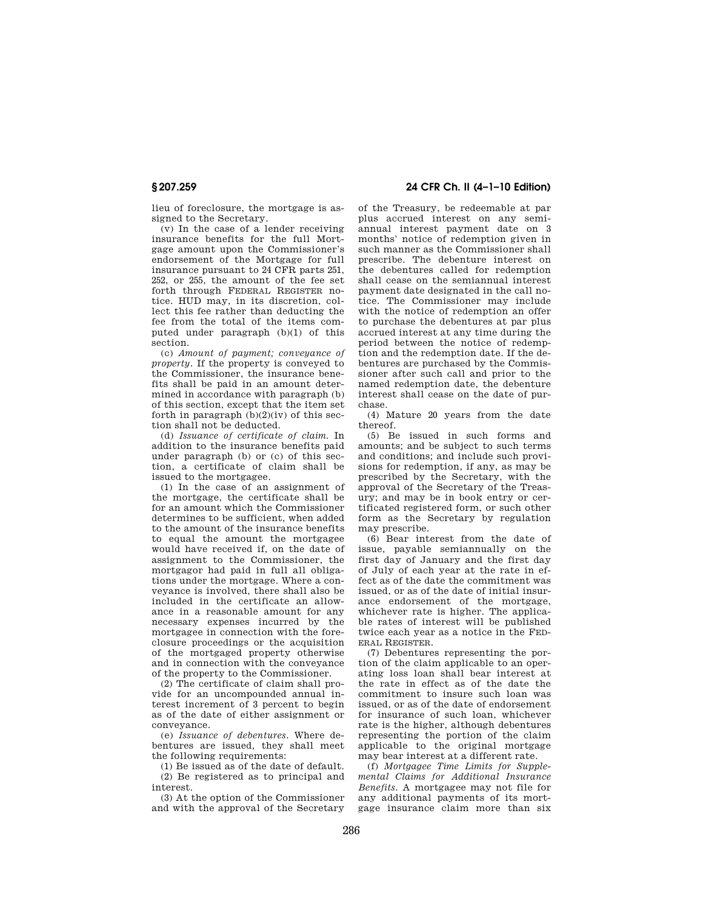lieu of foreclosure, the mortgage is assigned to the Secretary.

(v) In the case of a lender receiving insurance benefits for the full Mortgage amount upon the Commissioner's endorsement of the Mortgage for full insurance pursuant to 24 CFR parts 251, 252, or 255, the amount of the fee set forth through FEDERAL REGISTER notice. HUD may, in its discretion, collect this fee rather than deducting the fee from the total of the items computed under paragraph (b)(1) of this section.

(c) *Amount of payment; conveyance of property.* If the property is conveyed to the Commissioner, the insurance benefits shall be paid in an amount determined in accordance with paragraph (b) of this section, except that the item set forth in paragraph  $(b)(2)(iv)$  of this section shall not be deducted.

(d) *Issuance of certificate of claim.* In addition to the insurance benefits paid under paragraph (b) or (c) of this section, a certificate of claim shall be issued to the mortgagee.

(1) In the case of an assignment of the mortgage, the certificate shall be for an amount which the Commissioner determines to be sufficient, when added to the amount of the insurance benefits to equal the amount the mortgagee would have received if, on the date of assignment to the Commissioner, the mortgagor had paid in full all obligations under the mortgage. Where a conveyance is involved, there shall also be included in the certificate an allowance in a reasonable amount for any necessary expenses incurred by the mortgagee in connection with the foreclosure proceedings or the acquisition of the mortgaged property otherwise and in connection with the conveyance of the property to the Commissioner.

 $(2)$  The certificate of claim shall provide for an uncompounded annual interest increment of 3 percent to begin as of the date of either assignment or conveyance.

(e) *Issuance of debentures.* Where debentures are issued, they shall meet the following requirements:

(1) Be issued as of the date of default.

(2) Be registered as to principal and interest.

(3) At the option of the Commissioner and with the approval of the Secretary

**§ 207.259 24 CFR Ch. II (4–1–10 Edition)** 

of the Treasury, be redeemable at par plus accrued interest on any semiannual interest payment date on 3 months' notice of redemption given in such manner as the Commissioner shall prescribe. The debenture interest on the debentures called for redemption shall cease on the semiannual interest payment date designated in the call notice. The Commissioner may include with the notice of redemption an offer to purchase the debentures at par plus accrued interest at any time during the period between the notice of redemption and the redemption date. If the debentures are purchased by the Commissioner after such call and prior to the named redemption date, the debenture interest shall cease on the date of purchase.

(4) Mature 20 years from the date thereof.

(5) Be issued in such forms and amounts; and be subject to such terms and conditions; and include such provisions for redemption, if any, as may be prescribed by the Secretary, with the approval of the Secretary of the Treasury; and may be in book entry or certificated registered form, or such other form as the Secretary by regulation may prescribe.

(6) Bear interest from the date of issue, payable semiannually on the first day of January and the first day of July of each year at the rate in effect as of the date the commitment was issued, or as of the date of initial insurance endorsement of the mortgage, whichever rate is higher. The applicable rates of interest will be published twice each year as a notice in the FED-ERAL REGISTER.

(7) Debentures representing the portion of the claim applicable to an operating loss loan shall bear interest at the rate in effect as of the date the commitment to insure such loan was issued, or as of the date of endorsement for insurance of such loan, whichever rate is the higher, although debentures representing the portion of the claim applicable to the original mortgage may bear interest at a different rate.

(f) *Mortgagee Time Limits for Supplemental Claims for Additional Insurance Benefits.* A mortgagee may not file for any additional payments of its mortgage insurance claim more than six